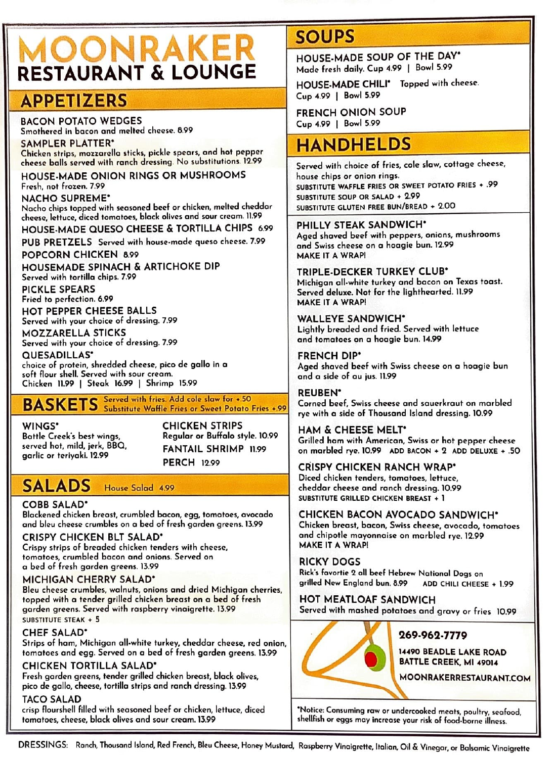# **OONRAKER RESTAURANT & LOUNGE**

# **APPETIZERS**

BACON POTATO WEDGES Smothered in bacon and melted cheese. 8.99

SAMPLER PLATTER• Chicken strips, mozzarella sticks, pickle spears, and hot pepper cheese balls served with ranch dressing. No substitutions. 12.99

HOUSE-MADE ONION RINGS OR MUSHROOMS Fresh, not frozen. 7.99

NACHO SUPREME•

Nacho chips topped with seasoned beef or chicken, melted cheddar cheese, lettuce, diced tomatoes, black olives and sour cream. 11.99

HOUSE-MADE QUESO CHEESE & TORTILLA CHIPS 6.99

PUB PRETZELS Served with house-mode queso cheese. 7.99

POPCORN CHICKEN 8.99

HOUSEMADE SPINACH & ARTICHOKE DIP Served with tortilla chips. 7.99

PICKLE SPEARS Fried to perfection. 6.99

HOT PEPPER CHEESE BALLS Served with your choice of dressing. 7.99

MOZZARELLA STICKS

Served with your choice of dressing. 7.99 QUESADILLAS•

choice of protein, shredded cheese, pico de gallo in a soft flour shell. Served with sour cream. Chicken 11.99 | Steak 16.99 | Shrimp 15.99

# BASKETS Served with fries. Add cole slow for +.50 Substitute Waffle **Fries** or **Sweet** Potato Fries **+.99**

WINGS• Bottle Creek's best wings, CHICKEN STRIPS Regular or Buffalo style. 10.99 FANTAIL SHRIMP 11.99 PERCH 12.99

# **SALADS** House Salad 4.99

#### COBB SALAD•

Blackened chicken breast, crumbled bacon, egg, tomatoes, avocado and bleu cheese crumbles on a bed of fresh garden greens. 13.99

#### CRISPY CHICKEN BLT SALAD•

served hot, mild, jerk, **BBQ,**  garlic or teriyaki. 12.99

Crispy strips of breaded chicken tenders with cheese, tomatoes, crumbled bacon and onions. Served on a bed of fresh garden greens. 13.99

#### MICHIGAN CHERRY SALAD•

Bleu cheese crumbles, walnuts, onions and dried Michigan cherries, topped with a tender grilled chicken breast on a bed of fresh garden greens. Served with raspberry vinaigrette. 13.99 SUBSTITUTE STEAK + 5

#### **CHEF SALAD**<sup>\*</sup>

Strips of ham, Michigan all-white turkey, cheddar cheese, red onion, tomatoes and egg. Served on a bed of fresh garden greens. 13.99

#### CHICKEN TORTILLA SALAD•

Fresh garden greens, tender grilled chicken breast, black olives, pico de gallo, cheese, tortilla strips and ranch dressing. 13.99

#### TACO SALAD

crisp flourshell filled with seasoned beef or chicken, lettuce, diced tomatoes, cheese, black olives and sour cream. 13.99

# **SOtlPS**

HOUSE-MADE SOUP OF THE DAY• Made fresh daily. Cup 4.99 I Bowl 5.99

HOUSE-MADE CHILI<sup>®</sup> Topped with cheese. Cup 4.99 I Bowl 5.99

FRENCH ONION SOUP Cup 4.99 I Bowl 5.99

# **HANDHELDS**

Served with choice of fries, cole slaw, cottage cheese, house chips or onion rings. SUBSTITUTE WAFFLE FRIES OR SWEET POTATO FRIES + .99 SUBSTITUTE SOUP OR SALAD + 2.99 SUBSTITUTE GLUTEN FREE BUN/BREAD + 2.00

PHILLY **STEAK SANDWICH"**  Aged shaved beef with peppers, onions, mushrooms and Swiss cheese on a hoagie bun. 12.99 **MAKE** IT **A WRAPI** 

TRIPLE-DECKER TURKEY CLUB• Michigan all-white turkey and bacon on Texas toast. Served deluxe. Not for the lighthearted. 11.99 MAKE IT A WRAP!

WALLEYE SANDWICH" Lightly breaded and fried. Served with lettuce and tomatoes on a hoagie bun. 14.99

FRENCH DIP• Aged shaved beef with Swiss cheese on a hoagie bun and a side of au jus. 11.99

**REUBEN•**  Corned beef, Swiss cheese and sauerkraut on marbled rye with a side of Thousand Island dressing. 10.99

HAM & CHEESE MELT• Grilled ham with American, Swiss or hot pepper cheese on marbled rye. 10.99 ADD BACON + 2 ADD DELUXE + .SO

#### CRISPY CHICKEN RANCH WRAP•

Diced chicken tenders, tomatoes, lettuce, cheddar cheese and ranch dressing. 10.99 SUBSTITUTE GRILLED CHICKEN BREAST + 1

#### CHICKEN **BACON** AVOCADO SANDWICH°

Chicken breast, bacon, Swiss cheese, avocado, tomatoes and chipotle mayonnaise on marbled rye. 12.99 MAKE IT A WRAP!

RICKY DOGS Rick's favortie 2 all beef Hebrew National Dogs on grilled New England bun. 8.99 ADO CHILI CHEESE + 1.99

HOT MEATLOAF SANDWICH Served with mashed potatoes and gravy or fries 10.99 T MEATLOAF SANDWICH<br>
The wed with mashed potatoes and gravy or<br>
269-962-7779<br>
14490 BEADLE LA



**14490 BEADLE LAKE ROAD BATTLE CREEK.** Ml **49014** 

'Notice: Consuming row or undercooked meats, poultry, seafood, shellfish or eggs may increase your risk of food-borne illness.

DRESSINGS: Ranch, Thousand Island, Red French, Bleu Cheese, Honey Mustard, Raspberry Vinaigrette, Italian, Oil & Vinegar, or Balsamic Vinaigrette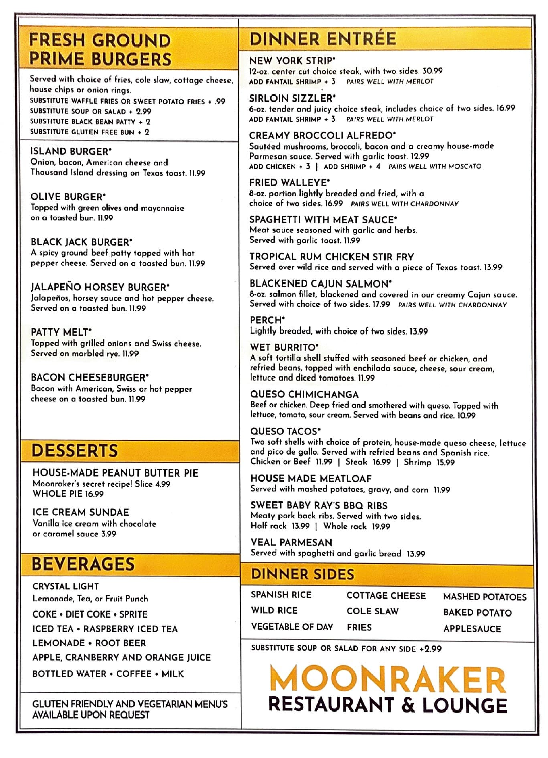# **FRESH GROUND PRIME BURGERS**

Served with choice of fries, cole slaw, cottage cheese, house chips or onion rings. SUBSTITUTE WAFFLE FRIES OR SWEET POTATO FRIES • .99 SUBSTITUTE SOUP OR SALAD • 2.99 SUBSTITUTE BLACK BEAN PATTY • 2 SUBSTITUTE GLUTEN FREE BUN + 2

#### ISLAND BURGER•

Onion, bacon, American cheese and Thousand Island dressing on Texas toast. 11.99

OLIVE BURGER• Topped with green olives and mayonnaise on a toasted bun. 11.99

BLACK JACK BURGER" A spicy ground beef potty topped with hot pepper cheese. Served on o toasted bun. 11.99

JALAPENO HORSEY BURGER" Jalapeños, horsey sauce and hot pepper cheese. Served on a toasted bun. 11.99

**PATTY** MELT• Topped with grilled onions and Swiss cheese. Served on marbled rye. 11.99

**BACON** CHEESEBURGER" Bacon with American, Swiss or hot pepper cheese on o toasted bun. 11.99

# **DESSERTS**

HOUSE-MADE PEANUT BUTTER PIE Moonroker's secret recipe! Slice 4.99 WHOLE PIE 16.99

ICE CREAM SUNDAE Vanilla ice cream with chocolate or caramel sauce 3.99

# **BEVERAGES**

CRYSTAL LIGHT Lemonade, Tea, or Fruit Punch

COKE • DIET COKE • SPRITE

ICED TEA • RASPBERRY ICED TEA

LEMONADE • ROOT BEER

APPLE, CRANBERRY AND ORANGE JUICE

BOTTLED WATER • COFFEE • MILK

GLUTEN FRIENDLY AND VEGETARIAN MENU'S AVAILABLE UPON REQUEST

# **DINNER ENTREE**

### NEW YORK STRIP•

12,01. center cut choice steak, with two sides. 30.99 ADD FANTAIL SHRIMP • *3* PAIRS WELL WITH MERLOT

SIRLOIN SIZZLER· 6-01. tender and juicy choice steak, includes choice of two sides. 16.99 ADD FANTAIL SHRIMP + 3 PAIRS WELL WITH MERLOT

#### CREAMY BROCCOLI ALFREDO•

Sautéed mushrooms, broccoli, bacon and a creamy house-made Parmesan sauce. Served with garlic toast. 12.99 ADD CHICKEN • *3* I ADD SHRIMP + 4 PAIRS WELL WITH MOSCATO

FRIED WALLEYE• 8-oz. portion lightly breaded and fried, with o choice of two sides. 16.99 PAIRS WELL WITH CHARDONNAY

SPAGHETTI WITH MEAT SAUCE• Meat sauce seasoned with garlic and herbs. Served with garlic toast. 11.99

TROPICAL RUM CHICKEN STIR FRY Served over wild rice and served with a piece of Texas toast. 13.99

BLACKENED CAJUN SALMON• 8-oz. salmon fillet, blackened and covered in our creamy Cajun sauce. Served with choice of two sides. 17.99 PAIRS WELL WITH CHARDONNAY

PERCH" Lightly breaded, with choice of two sides. 13.99

WET **BURRITO•**  A soft tortilla shell stuffed with seasoned beef or chicken, and refried beans, topped with enchilada sauce, cheese, sour cream, lettuce and diced tomatoes. 11.99

### QUESO CHIMICHANGA

Beef or chicken. Deep fried and smothered with queso. Topped with lettuce, tomato, sour cream. Served with beans and rice. 10.99

### QUESO TACOS•

Two soft shells with choice of protein, house-mode queso cheese, lettuce and pico de gollo. Served with refried beans and Spanish rice. Chicken or Beef 11.99 I Steak 16.99 I Shrimp 15.99

HOUSE MADE MEATLOAF Served with mashed potatoes, gravy, and corn 11.99

SWEET **BABY RAY'S BBQ RIBS**  Meaty pork bock ribs. Served with two sides. Half rack **13.99** I Whole rock 19.99

VEAL **PARMESAN**  Served with spaghetti and garlic bread 13.99

### **DINNER SIDES**

SPANISH RICE COTTAGE CHEESE WILD RICE COLE SLAW VEGETABLE OF DAV FRIES

MASHED POTATOES BAKED POTATO APPLESAUCE

SUBSTITUTE SOUP OR SALAD FOR ANY SIDE **+2.99** 

**MOON RAKER RESTAURANT & LOUNGE**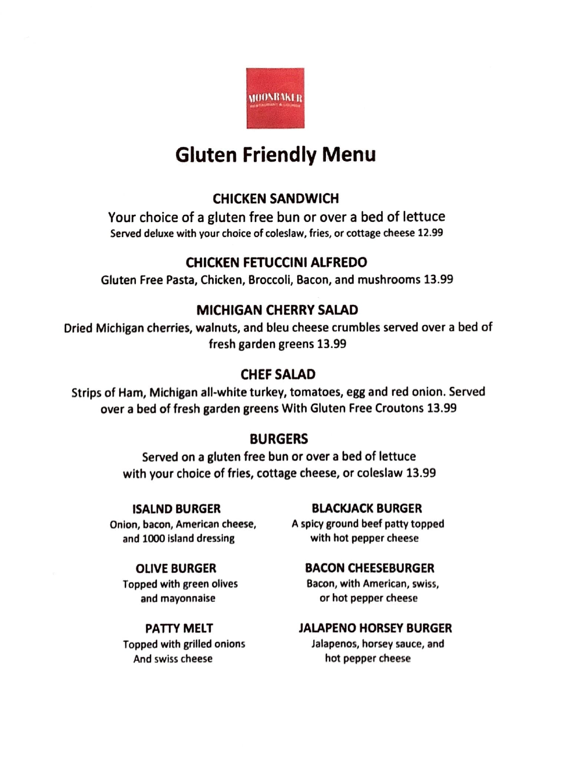

# **Gluten Friendly Menu**

# **CHICKEN SANDWICH**

Your choice of a gluten free bun or over a bed of lettuce Served deluxe with your choice of coleslaw, fries, or cottage cheese 12.99

# **CHICKEN FETUCCINI ALFREDO**

Gluten Free Pasta, Chicken, Broccoli, Bacon, and mushrooms 13.99

# **MICHIGAN CHERRY SAIAD**

Dried Michigan cherries, walnuts, and bleu cheese crumbles served over a bed of fresh garden greens 13.99

# **CHEFSAIAD**

Strips of Ham, Michigan all-white turkey, tomatoes, egg and red onion. Served over a bed of fresh garden greens With Gluten Free Croutons 13.99

# **BURGERS**

Served on a gluten free bun or over a bed of lettuce with your choice of fries, cottage cheese, or coleslaw 13.99

**ISALND BURGER**  Onion, bacon, American cheese, and 1000 Island dressing

### **OLIVE BURGER**

Topped with green olives and mayonnaise

### **PATTY MELT**

Topped with grilled onions And swiss cheese

### **BLACKJACK BURGER**

A spicy ground beef patty topped with hot pepper cheese

### **BACON CHEESEBURGER**

Bacon, with American, swiss, or hot pepper cheese

### **JALAPENO HORSEY BURGER**

Jalapenos, horsey sauce, and hot pepper cheese